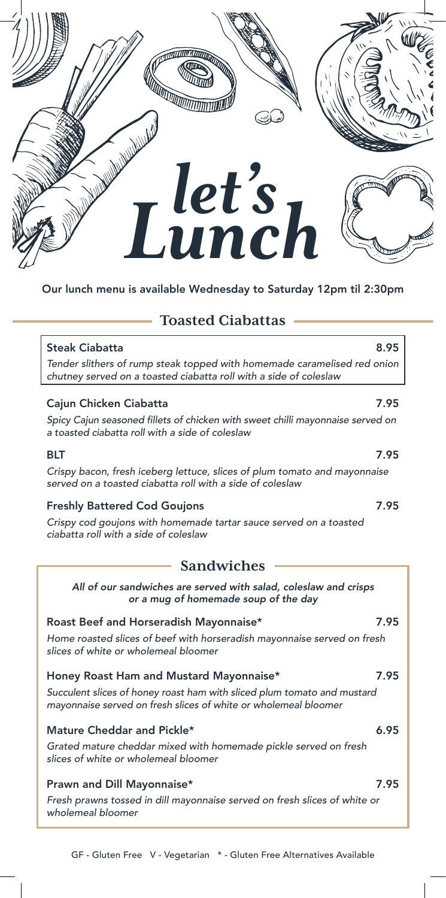

# Our lunch menu is available Wednesday to Saturday 12pm til 2:30pm

# **Toasted Ciabattas**

## Steak Ciabatta **8.95**

*Tender slithers of rump steak topped with homemade caramelised red onion chutney served on a toasted ciabatta roll with a side of coleslaw*

## Cajun Chicken Ciabatta 7.95

Spicy Cajun seasoned fillets of chicken with sweet chilli mayonnaise served on *a toasted ciabatta roll with a side of coleslaw*

*Crispy bacon, fresh iceberg lettuce, slices of plum tomato and mayonnaise served on a toasted ciabatta roll with a side of coleslaw*

### Freshly Battered Cod Goujons **7.95**

*Crispy cod goujons with homemade tartar sauce served on a toasted ciabatta roll with a side of coleslaw*

# **Sandwiches**

*All of our sandwiches are served with salad, coleslaw and crisps or a mug of homemade soup of the day*

#### Roast Beef and Horseradish Mayonnaise\* 7.95

*Home roasted slices of beef with horseradish mayonnaise served on fresh slices of white or wholemeal bloomer*

### Honey Roast Ham and Mustard Mayonnaise\* 7.95

*Succulent slices of honey roast ham with sliced plum tomato and mustard mayonnaise served on fresh slices of white or wholemeal bloomer*

#### Mature Cheddar and Pickle\* 6.95

*Grated mature cheddar mixed with homemade pickle served on fresh slices of white or wholemeal bloomer*

# Prawn and Dill Mayonnaise\* 7.95

*Fresh prawns tossed in dill mayonnaise served on fresh slices of white or wholemeal bloomer*

#### GF - Gluten Free V - Vegetarian \* - Gluten Free Alternatives Available

#### BLT 7.95